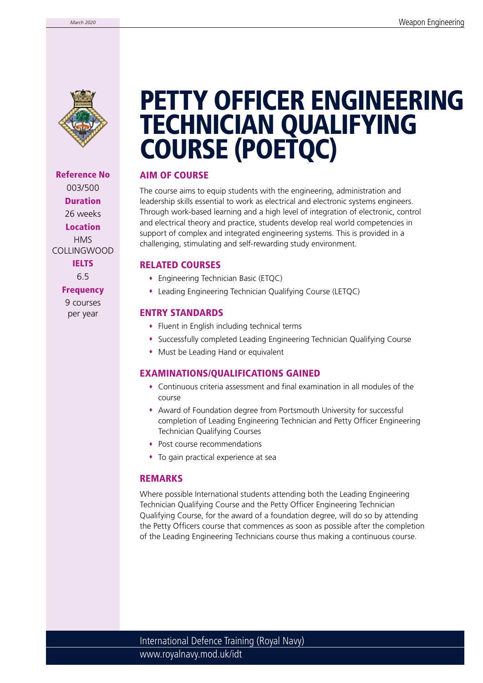

Reference No 003/500 Duration 26 weeks Location HMS COLLINGWOOD **IELTS** 6.5

**Frequency** 

9 courses per year

## PETTY OFFICER ENGINEERING TECHNICIAN QUALIFYING COURSE (POETQC)

### AIM OF COURSE

The course aims to equip students with the engineering, administration and leadership skills essential to work as electrical and electronic systems engineers. Through work-based learning and a high level of integration of electronic, control and electrical theory and practice, students develop real world competencies in support of complex and integrated engineering systems. This is provided in a challenging, stimulating and self-rewarding study environment.

### RELATED COURSES

- Engineering Technician Basic (ETQC)
- Leading Engineering Technician Qualifying Course (LETQC)

#### ENTRY STANDARDS

- Fluent in English including technical terms
- Successfully completed Leading Engineering Technician Qualifying Course
- Must be Leading Hand or equivalent

### EXAMINATIONS/QUALIFICATIONS GAINED

- Continuous criteria assessment and final examination in all modules of the course
- Award of Foundation degree from Portsmouth University for successful completion of Leading Engineering Technician and Petty Officer Engineering Technician Qualifying Courses
- Post course recommendations
- To gain practical experience at sea

### REMARKS

Where possible International students attending both the Leading Engineering Technician Qualifying Course and the Petty Officer Engineering Technician Qualifying Course, for the award of a foundation degree, will do so by attending the Petty Officers course that commences as soon as possible after the completion of the Leading Engineering Technicians course thus making a continuous course.